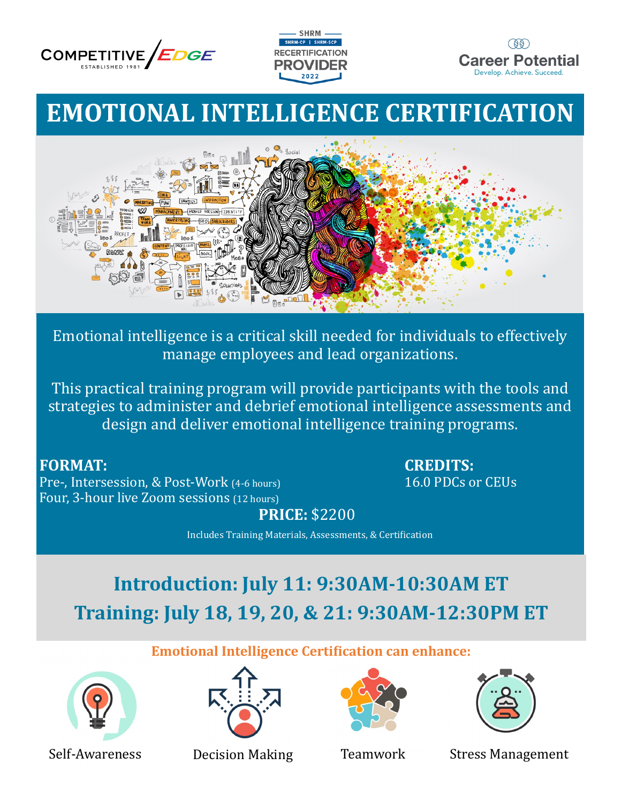





# **EMOTIONAL INTELLIGENCE CERTIFICATION**



Emotional intelligence is a critical skill needed for individuals to effectively manage employees and lead organizations.

This practical training program will provide participants with the tools and strategies to administer and debrief emotional intelligence assessments and design and deliver emotional intelligence training programs.

Pre-, Intersession, & Post-Work (4-6 hours) 16.0 PDCs or CEUs Four, 3-hour live Zoom sessions (12 hours)

**FORMAT: CREDITS:** 

**PRICE:** \$2200

Includes Training Materials, Assessments, & Certification

# **Introduction: July 11: 9:30AM-10:30AM ET Training: July 18, 19, 20, & 21: 9:30AM-12:30PM ET**

**Emotional Intelligence Certification can enhance:**









Self-Awareness Decision Making Teamwork Stress Management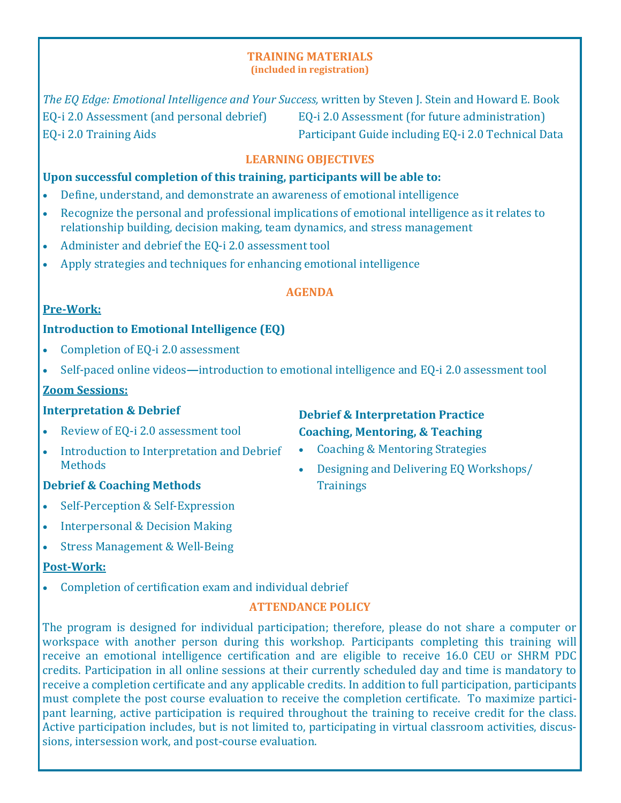## **TRAINING MATERIALS**

**(included in registration)**

*The EQ Edge: Emotional Intelligence and Your Success,* written by Steven J. Stein and Howard E. Book EQ-i 2.0 Assessment (and personal debrief) EQ-i 2.0 Assessment (for future administration) EQ-i 2.0 Training Aids Participant Guide including EQ-i 2.0 Technical Data

#### **LEARNING OBJECTIVES**

#### **Upon successful completion of this training, participants will be able to:**

- Define, understand, and demonstrate an awareness of emotional intelligence
- Recognize the personal and professional implications of emotional intelligence as it relates to relationship building, decision making, team dynamics, and stress management
- Administer and debrief the EQ-i 2.0 assessment tool
- Apply strategies and techniques for enhancing emotional intelligence

#### **AGENDA**

#### **Pre-Work:**

### **Introduction to Emotional Intelligence (EQ)**

- Completion of EQ-i 2.0 assessment
- Self-paced online videos**—**introduction to emotional intelligence and EQ-i 2.0 assessment tool

#### **Zoom Sessions:**

#### **Interpretation & Debrief**

- Review of EQ-i 2.0 assessment tool
- Introduction to Interpretation and Debrief **Methods**

### **Debrief & Coaching Methods**

- Self-Perception & Self-Expression
- Interpersonal & Decision Making
- Stress Management & Well-Being

#### **Post-Work:**

• Completion of certification exam and individual debrief

### **ATTENDANCE POLICY**

The program is designed for individual participation; therefore, please do not share a computer or workspace with another person during this workshop. Participants completing this training will receive an emotional intelligence certification and are eligible to receive 16.0 CEU or SHRM PDC credits. Participation in all online sessions at their currently scheduled day and time is mandatory to receive a completion certificate and any applicable credits. In addition to full participation, participants must complete the post course evaluation to receive the completion certificate. To maximize participant learning, active participation is required throughout the training to receive credit for the class. Active participation includes, but is not limited to, participating in virtual classroom activities, discussions, intersession work, and post-course evaluation.

### **Debrief & Interpretation Practice Coaching, Mentoring, & Teaching**

- Coaching & Mentoring Strategies
- Designing and Delivering EQ Workshops/ **Trainings**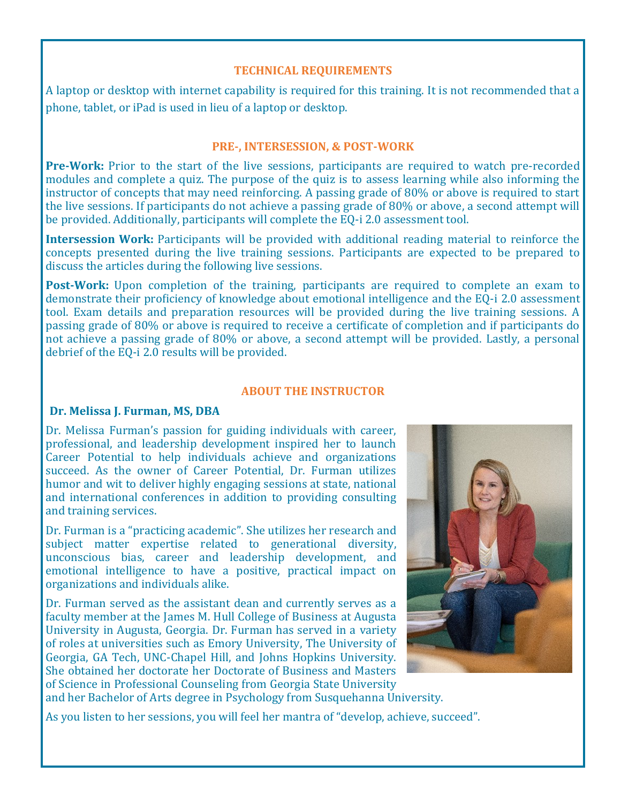#### **TECHNICAL REQUIREMENTS**

A laptop or desktop with internet capability is required for this training. It is not recommended that a phone, tablet, or iPad is used in lieu of a laptop or desktop.

#### **PRE-, INTERSESSION, & POST-WORK**

**Pre-Work:** Prior to the start of the live sessions, participants are required to watch pre-recorded modules and complete a quiz. The purpose of the quiz is to assess learning while also informing the instructor of concepts that may need reinforcing. A passing grade of 80% or above is required to start the live sessions. If participants do not achieve a passing grade of 80% or above, a second attempt will be provided. Additionally, participants will complete the EQ-i 2.0 assessment tool.

**Intersession Work:** Participants will be provided with additional reading material to reinforce the concepts presented during the live training sessions. Participants are expected to be prepared to discuss the articles during the following live sessions.

**Post-Work:** Upon completion of the training, participants are required to complete an exam to demonstrate their proficiency of knowledge about emotional intelligence and the EQ-i 2.0 assessment tool. Exam details and preparation resources will be provided during the live training sessions. A passing grade of 80% or above is required to receive a certificate of completion and if participants do not achieve a passing grade of 80% or above, a second attempt will be provided. Lastly, a personal debrief of the EQ-i 2.0 results will be provided.

#### **ABOUT THE INSTRUCTOR**

#### **Dr. Melissa J. Furman, MS, DBA**

Dr. Melissa Furman's passion for guiding individuals with career, professional, and leadership development inspired her to launch Career Potential to help individuals achieve and organizations succeed. As the owner of Career Potential, Dr. Furman utilizes humor and wit to deliver highly engaging sessions at state, national and international conferences in addition to providing consulting and training services.

Dr. Furman is a "practicing academic". She utilizes her research and subject matter expertise related to generational diversity, unconscious bias, career and leadership development, and emotional intelligence to have a positive, practical impact on organizations and individuals alike.

Dr. Furman served as the assistant dean and currently serves as a faculty member at the James M. Hull College of Business at Augusta University in Augusta, Georgia. Dr. Furman has served in a variety of roles at universities such as Emory University, The University of Georgia, GA Tech, UNC-Chapel Hill, and Johns Hopkins University. She obtained her doctorate her Doctorate of Business and Masters of Science in Professional Counseling from Georgia State University and her Bachelor of Arts degree in Psychology from Susquehanna University.



As you listen to her sessions, you will feel her mantra of "develop, achieve, succeed".